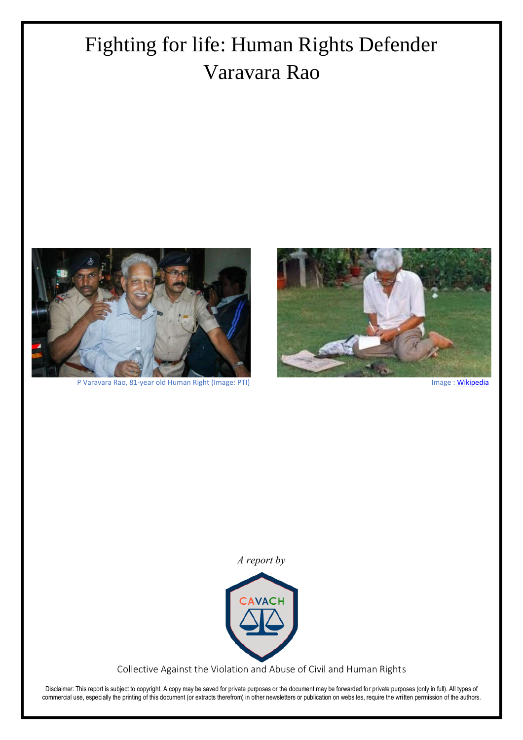# Fighting for life: Human Rights Defender Varavara Rao



P Varavara Rao, 81-year old Human Right (Image: PTI) Image [: Wikipedia](https://en.wikipedia.org/wiki/File:Vv_writing.jpg)



*A report by*



Collective Against the Violation and Abuse of Civil and Human Rights

Disclaimer: This report is subject to copyright. A copy may be saved for private purposes or the document may be forwarded for private purposes (only in full). All types of commercial use, especially the printing of this document (or extracts therefrom) in other newsletters or publication on websites, require the written permission of the authors.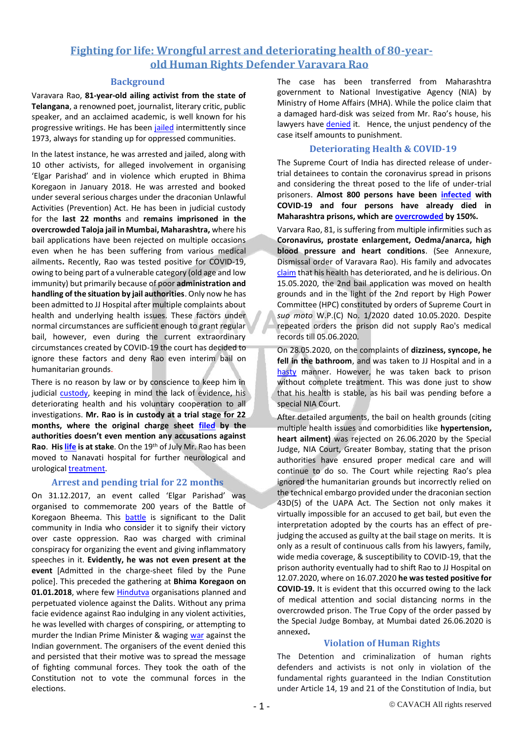# **Fighting for life: Wrongful arrest and deteriorating health of 80-yearold Human Rights Defender Varavara Rao**

#### **Background**

Varavara Rao, **81-year-old ailing activist from the state of Telangana**, a renowned poet, journalist, literary critic, public speaker, and an acclaimed academic, is well known for his progressive writings. He has bee[n jailed](https://www.thequint.com/news/politics/varavara-rao-profile-no-stranger-to-political-imprisonment-bhima-koregaon) intermittently since 1973, always for standing up for oppressed communities.

In the latest instance, he was arrested and jailed, along with 10 other activists, for alleged involvement in organising 'Elgar Parishad' and in violence which erupted in Bhima Koregaon in January 2018. He was arrested and booked under several serious charges under the draconian Unlawful Activities (Prevention) Act. He has been in judicial custody for the **last 22 months** and **remains imprisoned in the overcrowded Taloja jail in Mumbai, Maharashtra,** where his bail applications have been rejected on multiple occasions even when he has been suffering from various medical ailments**.** Recently, Rao was tested positive for COVID-19, owing to being part of a vulnerable category (old age and low immunity) but primarily because of poor **administration and handling of the situation by jail authorities**. Only now he has been admitted to JJ Hospital after multiple complaints about health and underlying health issues. These factors under normal circumstances are sufficient enough to grant regular bail, however, even during the current extraordinary circumstances created by COVID-19 the court has decided to ignore these factors and deny Rao even interim bail on humanitarian grounds.

There is no reason by law or by conscience to keep him in judicial [custody,](https://thewire.in/rights/varavara-rao-release-appeal-academics) keeping in mind the lack of evidence, his deteriorating health and his voluntary cooperation to all investigations. **Mr. Rao is in custody at a trial stage for 22 months, where the original charge sheet [filed](https://www.thehindu.com/news/national/karnataka/bail-sought-for-varavara-rao/article32125896.ece) by the authorities doesn't even mention any accusations against Rao**. **Hi[s life](https://www.thenewsminute.com/article/life-stake-romila-thapar-others-seek-urgent-medical-care-varavara-rao-128495) is at stake**. On the 19th of July Mr. Rao has been moved to Nanavati hospital for further neurological and urological [treatment.](https://www.hindustantimes.com/mumbai-news/p-varavara-rao-to-be-shifted-to-nanavati-hospital/story-hPN0P5nnmsUje8Jed4wQrJ.html)

## **Arrest and pending trial for 22 months**

On 31.12.2017, an event called 'Elgar Parishad' was organised to commemorate 200 years of the Battle of Koregaon Bheema. This [battle](https://www.newindianexpress.com/nation/2018/jan/03/what-the-battle-of-bhima-koregaon-means-to-the-dalits-1743374.html#:~:text=What%20the%20Battle%20of%20Bhima,over%20the%20high%20caste%20oppression.) is significant to the Dalit community in India who consider it to signify their victory over caste oppression. Rao was charged with criminal conspiracy for organizing the event and giving inflammatory speeches in it. **Evidently, he was not even present at the event** [Admitted in the charge-sheet filed by the Pune police]. This preceded the gathering at **Bhima Koregaon on**  01.01.2018, where few **Hindutva** organisations planned and perpetuated violence against the Dalits. Without any prima facie evidence against Rao indulging in any violent activities, he was levelled with charges of conspiring, or attempting to murder the Indian Prime Minister & waging [war](https://www.newindianexpress.com/nation/2020/jan/01/no-damaged-hard-disk-seized-from-house-varavara-raos-lawyer-2083690.html) against the Indian government. The organisers of the event denied this and persisted that their motive was to spread the message of fighting communal forces. They took the oath of the Constitution not to vote the communal forces in the elections.

The case has been transferred from Maharashtra government to National Investigative Agency (NIA) by Ministry of Home Affairs (MHA). While the police claim that a damaged hard-disk was seized from Mr. Rao's house, his lawyers have [denied](https://www.firstpost.com/india/bhima-koregaon-case-no-damaged-hard-disk-recovered-from-varavara-raos-home-in-2018-lawyers-counter-police-claim-of-seeking-fbi-help-to-decipher-data-7849371.html) it. Hence, the unjust pendency of the case itself amounts to punishment.

#### **Deteriorating Health & COVID-19**

The Supreme Court of India has directed release of undertrial detainees to contain the coronavirus spread in prisons and considering the threat posed to the life of under-trial prisoners. **Almost 800 persons have been [infected](https://www.hindustantimes.com/india-news/maharashtra-s-prisons-witness-surge-in-covid-19-cases/story-Vn8tBJCfz8Bg1kzTA0VM4I.html) with COVID-19 and four persons have already died in Maharashtra prisons, which ar[e overcrowded](https://www.newsclick.in/COVID-Prisons-in-maharashtra-turning-nightmare-for-inmates) by 150%.** 

Varvara Rao, 81, is suffering from multiple infirmities such as **Coronavirus, prostate enlargement, Oedma/anarca, high blood pressure and heart conditions**. (See Annexure, Dismissal order of Varavara Rao). His family and advocates [claim](https://free-them-all.net/2020/07/12/press-note-from-vara-vara-raos-family/) that his health has deteriorated, and he is delirious. On 15.05.2020, the 2nd bail application was moved on health grounds and in the light of the 2nd report by High Power Committee (HPC) constituted by orders of Supreme Court in *suo moto* W.P.(C) No. 1/2020 dated 10.05.2020. Despite repeated orders the prison did not supply Rao's medical records till 05.06.2020.

On 28.05.2020, on the complaints of **dizziness, syncope, he fell in the bathroom**, and was taken to JJ Hospital and in a [hasty](https://thewire.in/rights/as-varavara-raos-health-worsens-in-jail-family-alleges-severe-negligence-by-authorities) manner. However, he was taken back to prison without complete treatment. This was done just to show that his health is stable, as his bail was pending before a special NIA Court.

After detailed arguments, the bail on health grounds (citing multiple health issues and comorbidities like **hypertension, heart ailment)** was rejected on 26.06.2020 by the Special Judge, NIA Court, Greater Bombay, stating that the prison authorities have ensured proper medical care and will continue to do so. The Court while rejecting Rao's plea ignored the humanitarian grounds but incorrectly relied on the technical embargo provided under the draconian section 43D(5) of the UAPA Act. The Section not only makes it virtually impossible for an accused to get bail, but even the interpretation adopted by the courts has an effect of prejudging the accused as guilty at the bail stage on merits. It is only as a result of continuous calls from his lawyers, family, wide media coverage, & susceptibility to COVID-19, that the prison authority eventually had to shift Rao to JJ Hospital on 12.07.2020, where on 16.07.2020 **he was tested positive for COVID-19.** It is evident that this occurred owing to the lack of medical attention and social distancing norms in the overcrowded prison. The True Copy of the order passed by the Special Judge Bombay, at Mumbai dated 26.06.2020 is annexed**.**

## **Violation of Human Rights**

The Detention and criminalization of human rights defenders and activists is not only in violation of the fundamental rights guaranteed in the Indian Constitution under Article 14, 19 and 21 of the Constitution of India, but